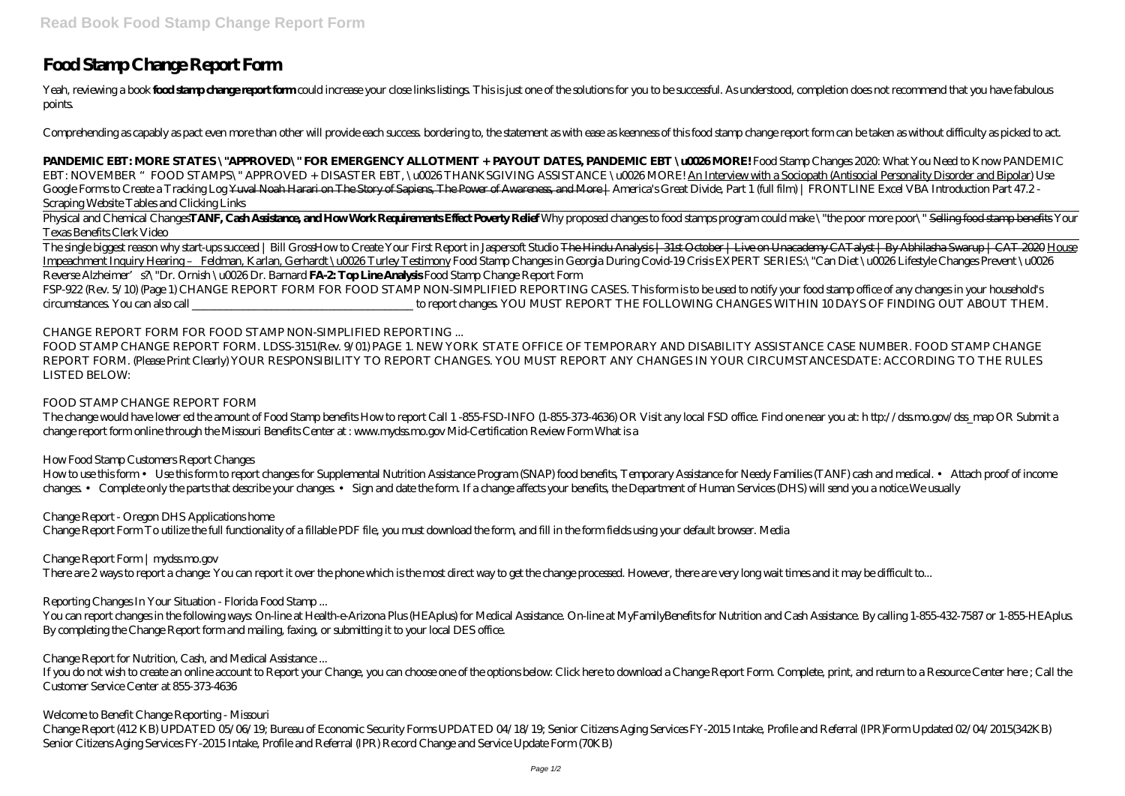# **Food Stamp Change Report Form**

Yeah, reviewing a book **fool starp drage report form** could increase your close links listings. This is just one of the solutions for you to be successful. As understood, completion does not recommend that you have fabulou points.

Comprehending as capably as pact even more than other will provide each success. bordering to, the statement as with ease as keenness of this food stamp change report form can be taken as without difficulty as picked to act.

Physical and Chemical Changes**TANF, CashAssistance, and HowWorkRequirements Effect Poverty Relief** Why proposed changes to food stamps program could make \"the poor more poor\" Selling food stamp benefits Your *Texas Benefits Clerk Video*

**PANDEMIC EBT: MORE STATES \"APPROVED\" FOR EMERGENCY ALLOTMENT + PAYOUT DATES, PANDEMIC EBT \u0026 MORE!** Food Stamp Changes 2020: What You Need to Know PANDEMIC EBT: NOVEMBER "FOOD STAMPS\" APPROVED + DISASTER EBT, \u0026THANKSGIVING ASSISTANCE \u0026MORE! An Interview with a Sociopath (Antisocial Personality Disorder and Bipolar) *Use* Google Forms to Create a Tracking LogYuval Neah Harari on The Story of Sapiens, The Power of Awareness, and More | America's Great Divide, Part 1 (full film) | FRONTLINE Excel VBA Introduction Part 47.2 -*Scraping Website Tables and Clicking Links*

The single biggest reason why start-ups succeed | Bill Gross*How to Create Your First Report in Jaspersoft Studio* The Hindu Analysis | 31st October | Live on Unacademy CATalyst | By Abhilasha Swarup | CAT 2020 House Impeachment Inquiry Hearing – Feldman, Karlan, Gerhardt \u0026 Turley Testimony *Food Stamp Changes in Georgia During Covid-19 Crisis EXPERT SERIES:\"Can Diet \u0026 Lifestyle Changes Prevent \u0026 Reverse Alzheimer's?\"Dr. Ornish \u0026 Dr. Barnard* **FA-2: Top Line Analysis** Food Stamp Change Report Form

How to use this form • Use this form to report changes for Supplemental Nutrition Assistance Program (SNAP) food benefits, Temporary Assistance for Needy Families (TANF) cash and medical. • Attach proof of income changes. • Complete only the parts that describe your changes. • Sign and date the form. If a change affects your benefits, the Department of Human Services (DHS) will send you a notice.We usually

FSP-922 (Rev. 5/10) (Page 1) CHANGE REPORT FORM FOR FOOD STAMP NON-SIMPLIFIED REPORTING CASES. This form is to be used to notify your food stamp office of any changes in your household's circumstances. You can also call \_\_\_\_\_\_\_\_\_\_\_\_\_\_\_\_\_\_\_\_\_\_\_\_\_\_\_\_\_\_\_\_\_\_\_\_\_\_\_ to report changes. YOU MUST REPORT THE FOLLOWING CHANGES WITHIN 10 DAYS OF FINDING OUT ABOUT THEM.

CHANGE REPORT FORM FOR FOOD STAMP NON-SIMPLIFIED REPORTING ...

FOOD STAMP CHANGE REPORT FORM. LDSS-3151(Rev. 9/01) PAGE 1. NEW YORK STATE OFFICE OF TEMPORARY AND DISABILITY ASSISTANCE CASE NUMBER. FOOD STAMP CHANGE REPORT FORM. (Please Print Clearly) YOUR RESPONSIBILITY TO REPORT CHANGES. YOU MUST REPORT ANY CHANGES IN YOUR CIRCUMSTANCESDATE: ACCORDING TO THE RULES LISTED BELOW:

FOOD STAMP CHANGE REPORT FORM

The change would have lower ed the amount of Food Stamp benefits How to report Call 1 -855-FSD-INFO (1-855-373-4636) OR Visit any local FSD office. Find one near you at: h ttp://dss.mo.gov/dss\_map OR Submit a change report form online through the Missouri Benefits Center at : www.mydss.mo.gov Mid-Certification Review Form What is a

How Food Stamp Customers Report Changes

Change Report - Oregon DHS Applications home Change Report Form To utilize the full functionality of a fillable PDF file, you must download the form, and fill in the form fields using your default browser. Media

Change Report Form | mydss.mo.gov

There are 2 ways to report a change: You can report it over the phone which is the most direct way to get the change processed. However, there are very long wait times and it may be difficult to...

Reporting Changes In Your Situation - Florida Food Stamp ...

You can report changes in the following ways: On-line at Health-e-Arizona Plus (HEAplus) for Medical Assistance. On-line at MyFamilyBenefits for Nutrition and Cash Assistance. By calling 1-855-432-7587 or 1-855-HEAplus. By completing the Change Report form and mailing, faxing, or submitting it to your local DES office.

Change Report for Nutrition, Cash, and Medical Assistance ...

If you do not wish to create an online account to Report your Change, you can choose one of the options below: Click here to download a Change Report Form. Complete, print, and return to a Resource Center here ; Call the Customer Service Center at 855-373-4636

Welcome to Benefit Change Reporting - Missouri

Change Report (412 KB) UPDATED 05/06/19; Bureau of Economic Security Forms UPDATED 04/18/19; Senior Citizens Aging Services FY-2015 Intake, Profile and Referral (IPR)Form Updated 02/04/2015(342KB) Senior Citizens Aging Services FY-2015 Intake, Profile and Referral (IPR) Record Change and Service Update Form (70KB)